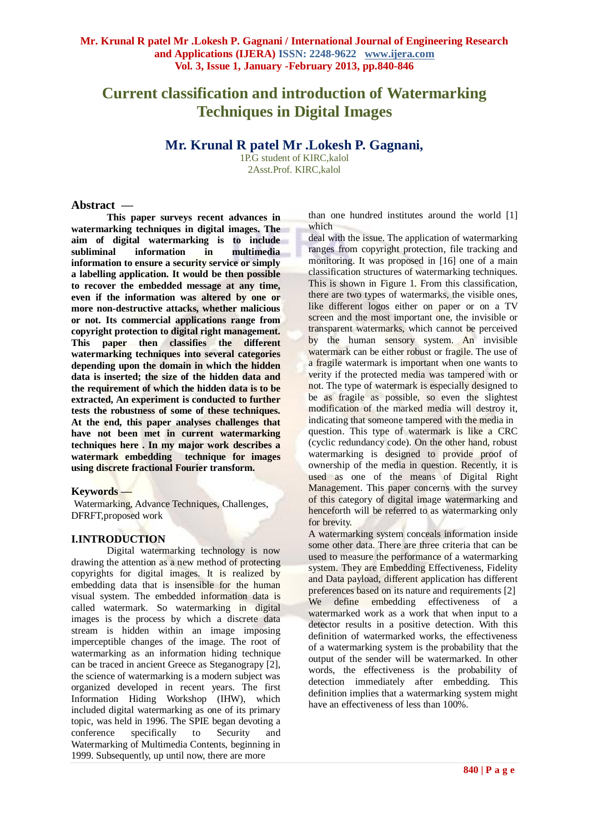# **Current classification and introduction of Watermarking Techniques in Digital Images**

# **Mr. Krunal R patel Mr .Lokesh P. Gagnani,**

1P.G student of KIRC,kalol 2Asst.Prof. KIRC,kalol

#### **Abstract —**

**This paper surveys recent advances in watermarking techniques in digital images. The aim of digital watermarking is to include subliminal information in multimedia information to ensure a security service or simply a labelling application. It would be then possible to recover the embedded message at any time, even if the information was altered by one or more non-destructive attacks, whether malicious or not. Its commercial applications range from copyright protection to digital right management. This paper then classifies the different watermarking techniques into several categories depending upon the domain in which the hidden data is inserted; the size of the hidden data and the requirement of which the hidden data is to be extracted, An experiment is conducted to further tests the robustness of some of these techniques. At the end, this paper analyses challenges that have not been met in current watermarking techniques here . In my major work describes a watermark embedding technique for images using discrete fractional Fourier transform.**

# **Keywords —**

Watermarking, Advance Techniques, Challenges, DFRFT,proposed work

# **I.INTRODUCTION**

Digital watermarking technology is now drawing the attention as a new method of protecting copyrights for digital images. It is realized by embedding data that is insensible for the human visual system. The embedded information data is called watermark. So watermarking in digital images is the process by which a discrete data stream is hidden within an image imposing imperceptible changes of the image. The root of watermarking as an information hiding technique can be traced in ancient Greece as Steganograpy [2], the science of watermarking is a modern subject was organized developed in recent years. The first Information Hiding Workshop (IHW), which included digital watermarking as one of its primary topic, was held in 1996. The SPIE began devoting a conference specifically to Security and Watermarking of Multimedia Contents, beginning in 1999. Subsequently, up until now, there are more

than one hundred institutes around the world [1] which

deal with the issue. The application of watermarking ranges from copyright protection, file tracking and monitoring. It was proposed in [16] one of a main classification structures of watermarking techniques. This is shown in Figure 1. From this classification, there are two types of watermarks, the visible ones, like different logos either on paper or on a TV screen and the most important one, the invisible or transparent watermarks, which cannot be perceived by the human sensory system. An invisible watermark can be either robust or fragile. The use of a fragile watermark is important when one wants to verity if the protected media was tampered with or not. The type of watermark is especially designed to be as fragile as possible, so even the slightest modification of the marked media will destroy it, indicating that someone tampered with the media in question. This type of watermark is like a CRC (cyclic redundancy code). On the other hand, robust watermarking is designed to provide proof of ownership of the media in question. Recently, it is used as one of the means of Digital Right Management. This paper concerns with the survey of this category of digital image watermarking and henceforth will be referred to as watermarking only for brevity.

A watermarking system conceals information inside some other data. There are three criteria that can be used to measure the performance of a watermarking system. They are Embedding Effectiveness, Fidelity and Data payload, different application has different preferences based on its nature and requirements [2] We define embedding effectiveness of a watermarked work as a work that when input to a detector results in a positive detection. With this definition of watermarked works, the effectiveness of a watermarking system is the probability that the output of the sender will be watermarked. In other words, the effectiveness is the probability of detection immediately after embedding. This definition implies that a watermarking system might have an effectiveness of less than 100%.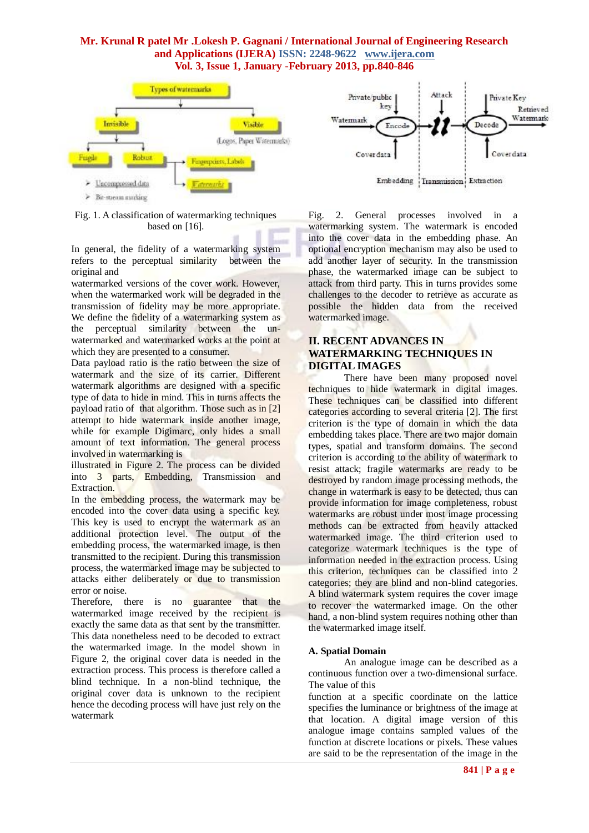

#### Fig. 1. A classification of watermarking techniques based on [16].

In general, the fidelity of a watermarking system refers to the perceptual similarity between the original and

watermarked versions of the cover work. However, when the watermarked work will be degraded in the transmission of fidelity may be more appropriate. We define the fidelity of a watermarking system as the perceptual similarity between the unwatermarked and watermarked works at the point at which they are presented to a consumer.

Data payload ratio is the ratio between the size of watermark and the size of its carrier. Different watermark algorithms are designed with a specific type of data to hide in mind. This in turns affects the payload ratio of that algorithm. Those such as in [2] attempt to hide watermark inside another image, while for example Digimarc, only hides a small amount of text information. The general process involved in watermarking is

illustrated in Figure 2. The process can be divided into 3 parts, Embedding, Transmission and Extraction.

In the embedding process, the watermark may be encoded into the cover data using a specific key. This key is used to encrypt the watermark as an additional protection level. The output of the embedding process, the watermarked image, is then transmitted to the recipient. During this transmission process, the watermarked image may be subjected to attacks either deliberately or due to transmission error or noise.

Therefore, there is no guarantee that the watermarked image received by the recipient is exactly the same data as that sent by the transmitter. This data nonetheless need to be decoded to extract the watermarked image. In the model shown in Figure 2, the original cover data is needed in the extraction process. This process is therefore called a blind technique. In a non-blind technique, the original cover data is unknown to the recipient hence the decoding process will have just rely on the watermark



Fig. 2. General processes involved in a watermarking system. The watermark is encoded into the cover data in the embedding phase. An optional encryption mechanism may also be used to add another layer of security. In the transmission phase, the watermarked image can be subject to attack from third party. This in turns provides some challenges to the decoder to retrieve as accurate as possible the hidden data from the received watermarked image.

# **II. RECENT ADVANCES IN WATERMARKING TECHNIQUES IN DIGITAL IMAGES**

There have been many proposed novel techniques to hide watermark in digital images. These techniques can be classified into different categories according to several criteria [2]. The first criterion is the type of domain in which the data embedding takes place. There are two major domain types, spatial and transform domains. The second criterion is according to the ability of watermark to resist attack; fragile watermarks are ready to be destroyed by random image processing methods, the change in watermark is easy to be detected, thus can provide information for image completeness, robust watermarks are robust under most image processing methods can be extracted from heavily attacked watermarked image. The third criterion used to categorize watermark techniques is the type of information needed in the extraction process. Using this criterion, techniques can be classified into 2 categories; they are blind and non-blind categories. A blind watermark system requires the cover image to recover the watermarked image. On the other hand, a non-blind system requires nothing other than the watermarked image itself.

#### **A. Spatial Domain**

An analogue image can be described as a continuous function over a two-dimensional surface. The value of this

function at a specific coordinate on the lattice specifies the luminance or brightness of the image at that location. A digital image version of this analogue image contains sampled values of the function at discrete locations or pixels. These values are said to be the representation of the image in the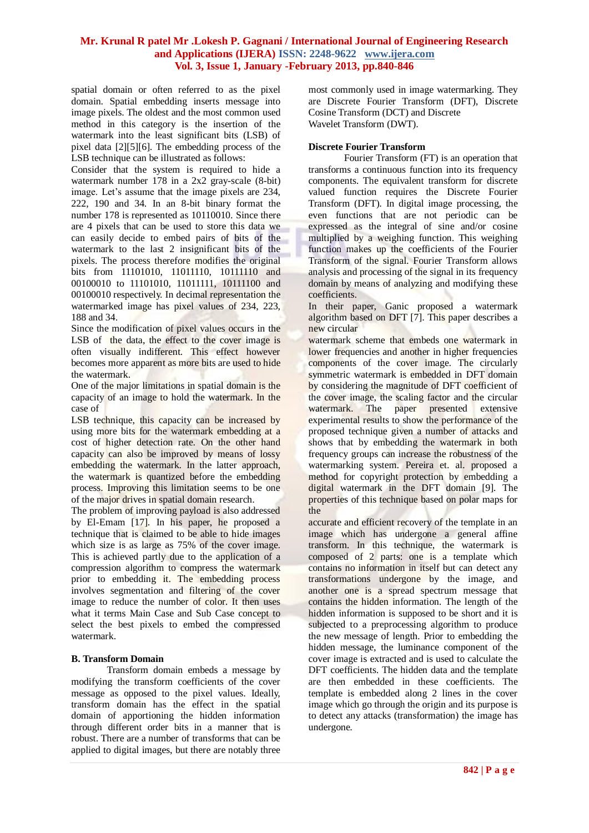spatial domain or often referred to as the pixel domain. Spatial embedding inserts message into image pixels. The oldest and the most common used method in this category is the insertion of the watermark into the least significant bits (LSB) of pixel data [2][5][6]. The embedding process of the LSB technique can be illustrated as follows:

Consider that the system is required to hide a watermark number 178 in a 2x2 gray-scale (8-bit) image. Let's assume that the image pixels are 234, 222, 190 and 34. In an 8-bit binary format the number 178 is represented as 10110010. Since there are 4 pixels that can be used to store this data we can easily decide to embed pairs of bits of the watermark to the last 2 insignificant bits of the pixels. The process therefore modifies the original bits from 11101010, 11011110, 10111110 and 00100010 to 11101010, 11011111, 10111100 and 00100010 respectively. In decimal representation the watermarked image has pixel values of 234, 223, 188 and 34.

Since the modification of pixel values occurs in the LSB of the data, the effect to the cover image is often visually indifferent. This effect however becomes more apparent as more bits are used to hide the watermark.

One of the major limitations in spatial domain is the capacity of an image to hold the watermark. In the case of

LSB technique, this capacity can be increased by using more bits for the watermark embedding at a cost of higher detection rate. On the other hand capacity can also be improved by means of lossy embedding the watermark. In the latter approach, the watermark is quantized before the embedding process. Improving this limitation seems to be one of the major drives in spatial domain research.

The problem of improving payload is also addressed by El-Emam [17]. In his paper, he proposed a technique that is claimed to be able to hide images which size is as large as 75% of the cover image. This is achieved partly due to the application of a compression algorithm to compress the watermark prior to embedding it. The embedding process involves segmentation and filtering of the cover image to reduce the number of color. It then uses what it terms Main Case and Sub Case concept to select the best pixels to embed the compressed watermark.

#### **B. Transform Domain**

Transform domain embeds a message by modifying the transform coefficients of the cover message as opposed to the pixel values. Ideally, transform domain has the effect in the spatial domain of apportioning the hidden information through different order bits in a manner that is robust. There are a number of transforms that can be applied to digital images, but there are notably three most commonly used in image watermarking. They are Discrete Fourier Transform (DFT), Discrete Cosine Transform (DCT) and Discrete Wavelet Transform (DWT).

#### **Discrete Fourier Transform**

Fourier Transform (FT) is an operation that transforms a continuous function into its frequency components. The equivalent transform for discrete valued function requires the Discrete Fourier Transform (DFT). In digital image processing, the even functions that are not periodic can be expressed as the integral of sine and/or cosine multiplied by a weighing function. This weighing function makes up the coefficients of the Fourier Transform of the signal. Fourier Transform allows analysis and processing of the signal in its frequency domain by means of analyzing and modifying these coefficients.

In their paper, Ganic proposed a watermark algorithm based on DFT [7]. This paper describes a new circular

watermark scheme that embeds one watermark in lower frequencies and another in higher frequencies components of the cover image. The circularly symmetric watermark is embedded in DFT domain by considering the magnitude of DFT coefficient of the cover image, the scaling factor and the circular watermark. The paper presented extensive experimental results to show the performance of the proposed technique given a number of attacks and shows that by embedding the watermark in both frequency groups can increase the robustness of the watermarking system. Pereira et. al. proposed a method for copyright protection by embedding a digital watermark in the DFT domain [9]. The properties of this technique based on polar maps for the

accurate and efficient recovery of the template in an image which has undergone a general affine transform. In this technique, the watermark is composed of 2 parts: one is a template which contains no information in itself but can detect any transformations undergone by the image, and another one is a spread spectrum message that contains the hidden information. The length of the hidden information is supposed to be short and it is subjected to a preprocessing algorithm to produce the new message of length. Prior to embedding the hidden message, the luminance component of the cover image is extracted and is used to calculate the DFT coefficients. The hidden data and the template are then embedded in these coefficients. The template is embedded along 2 lines in the cover image which go through the origin and its purpose is to detect any attacks (transformation) the image has undergone.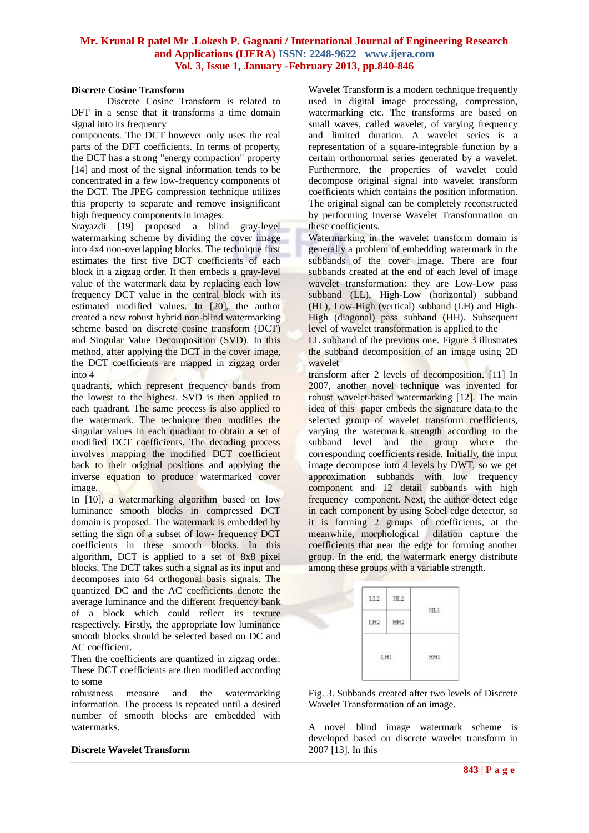#### **Discrete Cosine Transform**

Discrete Cosine Transform is related to DFT in a sense that it transforms a time domain signal into its frequency

components. The DCT however only uses the real parts of the DFT coefficients. In terms of property, the DCT has a strong "energy compaction" property [14] and most of the signal information tends to be concentrated in a few low-frequency components of the DCT. The JPEG compression technique utilizes this property to separate and remove insignificant high frequency components in images.

Srayazdi [19] proposed a blind gray-level watermarking scheme by dividing the cover image into 4x4 non-overlapping blocks. The technique first estimates the first five DCT coefficients of each block in a zigzag order. It then embeds a gray-level value of the watermark data by replacing each low frequency DCT value in the central block with its estimated modified values. In [20], the author created a new robust hybrid non-blind watermarking scheme based on discrete cosine transform (DCT) and Singular Value Decomposition (SVD). In this method, after applying the DCT in the cover image, the DCT coefficients are mapped in zigzag order into 4

quadrants, which represent frequency bands from the lowest to the highest. SVD is then applied to each quadrant. The same process is also applied to the watermark. The technique then modifies the singular values in each quadrant to obtain a set of modified DCT coefficients. The decoding process involves mapping the modified DCT coefficient back to their original positions and applying the inverse equation to produce watermarked cover image.

In [10], a watermarking algorithm based on low luminance smooth blocks in compressed DCT domain is proposed. The watermark is embedded by setting the sign of a subset of low- frequency DCT coefficients in these smooth blocks. In this algorithm, DCT is applied to a set of 8x8 pixel blocks. The DCT takes such a signal as its input and decomposes into 64 orthogonal basis signals. The quantized DC and the AC coefficients denote the average luminance and the different frequency bank of a block which could reflect its texture respectively. Firstly, the appropriate low luminance smooth blocks should be selected based on DC and AC coefficient.

Then the coefficients are quantized in zigzag order. These DCT coefficients are then modified according to some

robustness measure and the watermarking information. The process is repeated until a desired number of smooth blocks are embedded with watermarks.

#### **Discrete Wavelet Transform**

Wavelet Transform is a modern technique frequently used in digital image processing, compression, watermarking etc. The transforms are based on small waves, called wavelet, of varying frequency and limited duration. A wavelet series is a representation of a square-integrable function by a certain orthonormal series generated by a wavelet. Furthermore, the properties of wavelet could decompose original signal into wavelet transform coefficients which contains the position information. The original signal can be completely reconstructed by performing Inverse Wavelet Transformation on these coefficients.

Watermarking in the wavelet transform domain is generally a problem of embedding watermark in the subbands of the cover image. There are four subbands created at the end of each level of image wavelet transformation: they are Low-Low pass subband (LL), High-Low (horizontal) subband (HL), Low-High (vertical) subband (LH) and High-High (diagonal) pass subband (HH). Subsequent level of wavelet transformation is applied to the

LL subband of the previous one. Figure 3 illustrates the subband decomposition of an image using 2D wavelet

transform after 2 levels of decomposition. [11] In 2007, another novel technique was invented for robust wavelet-based watermarking [12]. The main idea of this paper embeds the signature data to the selected group of wavelet transform coefficients, varying the watermark strength according to the subband level and the group where the corresponding coefficients reside. Initially, the input image decompose into 4 levels by DWT, so we get approximation subbands with low frequency component and 12 detail subbands with high frequency component. Next, the author detect edge in each component by using Sobel edge detector, so it is forming 2 groups of coefficients, at the meanwhile, morphological dilation capture the coefficients that near the edge for forming another group. In the end, the watermark energy distribute among these groups with a variable strength.

| 720 MB<br>1972<br>ÿ<br>÷ | HL1                           |
|--------------------------|-------------------------------|
| 44,690<br>н<br>mar       | 조건식사람                         |
| LHI<br>3216.             | 10303034<br>Ū<br>ш<br>succedi |
|                          |                               |

Fig. 3. Subbands created after two levels of Discrete Wavelet Transformation of an image.

A novel blind image watermark scheme is developed based on discrete wavelet transform in 2007 [13]. In this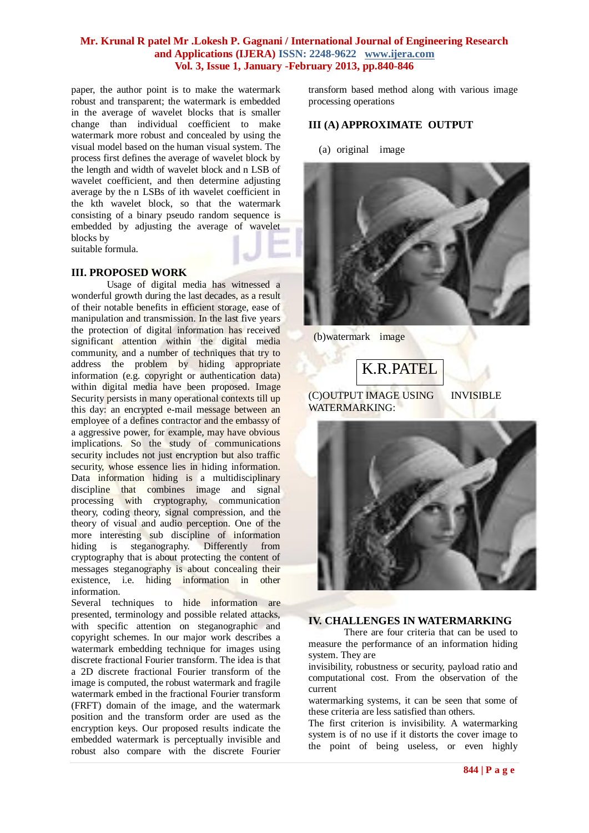paper, the author point is to make the watermark robust and transparent; the watermark is embedded in the average of wavelet blocks that is smaller change than individual coefficient to make watermark more robust and concealed by using the visual model based on the human visual system. The process first defines the average of wavelet block by the length and width of wavelet block and n LSB of wavelet coefficient, and then determine adjusting average by the n LSBs of ith wavelet coefficient in the kth wavelet block, so that the watermark consisting of a binary pseudo random sequence is embedded by adjusting the average of wavelet blocks by

suitable formula.

#### **III. PROPOSED WORK**

Usage of digital media has witnessed a wonderful growth during the last decades, as a result of their notable benefits in efficient storage, ease of manipulation and transmission. In the last five years the protection of digital information has received significant attention within the digital media community, and a number of techniques that try to address the problem by hiding appropriate information (e.g. copyright or authentication data) within digital media have been proposed. Image Security persists in many operational contexts till up this day: an encrypted e-mail message between an employee of a defines contractor and the embassy of a aggressive power, for example, may have obvious implications. So the study of communications security includes not just encryption but also traffic security, whose essence lies in hiding information. Data information hiding is a multidisciplinary discipline that combines image and signal processing with cryptography, communication theory, coding theory, signal compression, and the theory of visual and audio perception. One of the more interesting sub discipline of information<br>hiding is steganography. Differently from hiding is steganography. Differently from cryptography that is about protecting the content of messages steganography is about concealing their existence, i.e. hiding information in other information.

Several techniques to hide information are presented, terminology and possible related attacks, with specific attention on steganographic and copyright schemes. In our major work describes a watermark embedding technique for images using discrete fractional Fourier transform. The idea is that a 2D discrete fractional Fourier transform of the image is computed, the robust watermark and fragile watermark embed in the fractional Fourier transform (FRFT) domain of the image, and the watermark position and the transform order are used as the encryption keys. Our proposed results indicate the embedded watermark is perceptually invisible and robust also compare with the discrete Fourier

transform based method along with various image processing operations

### **III (A) APPROXIMATE OUTPUT**

(a) original image



(b)watermark image

K.R.PATEL

(C)OUTPUT IMAGE USING INVISIBLE WATERMARKING:



#### **IV. CHALLENGES IN WATERMARKING**

There are four criteria that can be used to measure the performance of an information hiding system. They are

invisibility, robustness or security, payload ratio and computational cost. From the observation of the current

watermarking systems, it can be seen that some of these criteria are less satisfied than others.

The first criterion is invisibility. A watermarking system is of no use if it distorts the cover image to the point of being useless, or even highly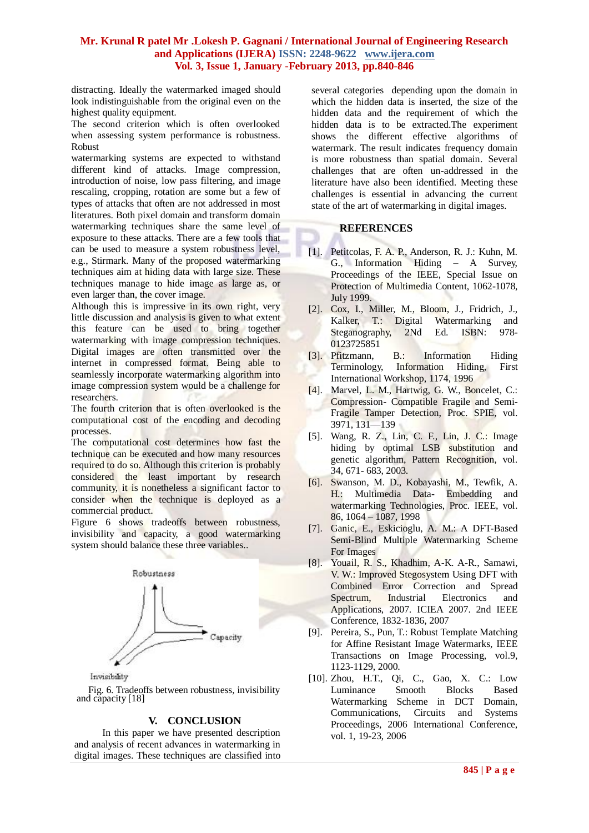distracting. Ideally the watermarked imaged should look indistinguishable from the original even on the highest quality equipment.

The second criterion which is often overlooked when assessing system performance is robustness. Robust

watermarking systems are expected to withstand different kind of attacks. Image compression, introduction of noise, low pass filtering, and image rescaling, cropping, rotation are some but a few of types of attacks that often are not addressed in most literatures. Both pixel domain and transform domain watermarking techniques share the same level of exposure to these attacks. There are a few tools that can be used to measure a system robustness level, e.g., Stirmark. Many of the proposed watermarking techniques aim at hiding data with large size. These techniques manage to hide image as large as, or even larger than, the cover image.

Although this is impressive in its own right, very little discussion and analysis is given to what extent this feature can be used to bring together watermarking with image compression techniques. Digital images are often transmitted over the internet in compressed format. Being able to seamlessly incorporate watermarking algorithm into image compression system would be a challenge for researchers.

The fourth criterion that is often overlooked is the computational cost of the encoding and decoding processes.

The computational cost determines how fast the technique can be executed and how many resources required to do so. Although this criterion is probably considered the least important by research community, it is nonetheless a significant factor to consider when the technique is deployed as a commercial product.

Figure 6 shows tradeoffs between robustness, invisibility and capacity, a good watermarking system should balance these three variables..



Invisibility

Fig. 6. Tradeoffs between robustness, invisibility and capacity [18]

# **V. CONCLUSION**

In this paper we have presented description and analysis of recent advances in watermarking in digital images. These techniques are classified into several categories depending upon the domain in which the hidden data is inserted, the size of the hidden data and the requirement of which the hidden data is to be extracted.The experiment shows the different effective algorithms of watermark. The result indicates frequency domain is more robustness than spatial domain. Several challenges that are often un-addressed in the literature have also been identified. Meeting these challenges is essential in advancing the current state of the art of watermarking in digital images.

# **REFERENCES**

- [1]. Petitcolas, F. A. P., Anderson, R. J.: Kuhn, M. G., Information Hiding – A Survey, Proceedings of the IEEE, Special Issue on Protection of Multimedia Content, 1062-1078, July 1999.
- [2]. Cox, I., Miller, M., Bloom, J., Fridrich, J., Kalker, T.: Digital Watermarking and Kalker, T.: Digital Steganography, 2Nd Ed. ISBN: 978- 0123725851
- [3]. Pfitzmann, B.: Information Hiding Terminology, Information Hiding, First International Workshop, 1174, 1996
- [4]. Marvel, L. M., Hartwig, G. W., Boncelet, C.: Compression- Compatible Fragile and Semi-Fragile Tamper Detection, Proc. SPIE, vol. 3971, 131—139
- [5]. Wang, R. Z., Lin, C. F., Lin, J. C.: Image hiding by optimal LSB substitution and genetic algorithm, Pattern Recognition, vol. 34, 671- 683, 2003.
- [6]. Swanson, M. D., Kobayashi, M., Tewfik, A. H.: Multimedia Data- Embedding and watermarking Technologies, Proc. IEEE, vol. 86, 1064 – 1087, 1998
- [7]. Ganic, E., Eskicioglu, A. M.: A DFT-Based Semi-Blind Multiple Watermarking Scheme For Images
- [8]. Youail, R. S., Khadhim, A-K. A-R., Samawi, V. W.: Improved Stegosystem Using DFT with Combined Error Correction and Spread Spectrum, Industrial Electronics and Applications, 2007. ICIEA 2007. 2nd IEEE Conference, 1832-1836, 2007
- [9]. Pereira, S., Pun, T.: Robust Template Matching for Affine Resistant Image Watermarks, IEEE Transactions on Image Processing, vol.9, 1123-1129, 2000.
- [10]. Zhou, H.T., Qi, C., Gao, X. C.: Low Luminance Smooth Blocks Based Watermarking Scheme in DCT Domain, Communications, Circuits and Systems Proceedings, 2006 International Conference, vol. 1, 19-23, 2006